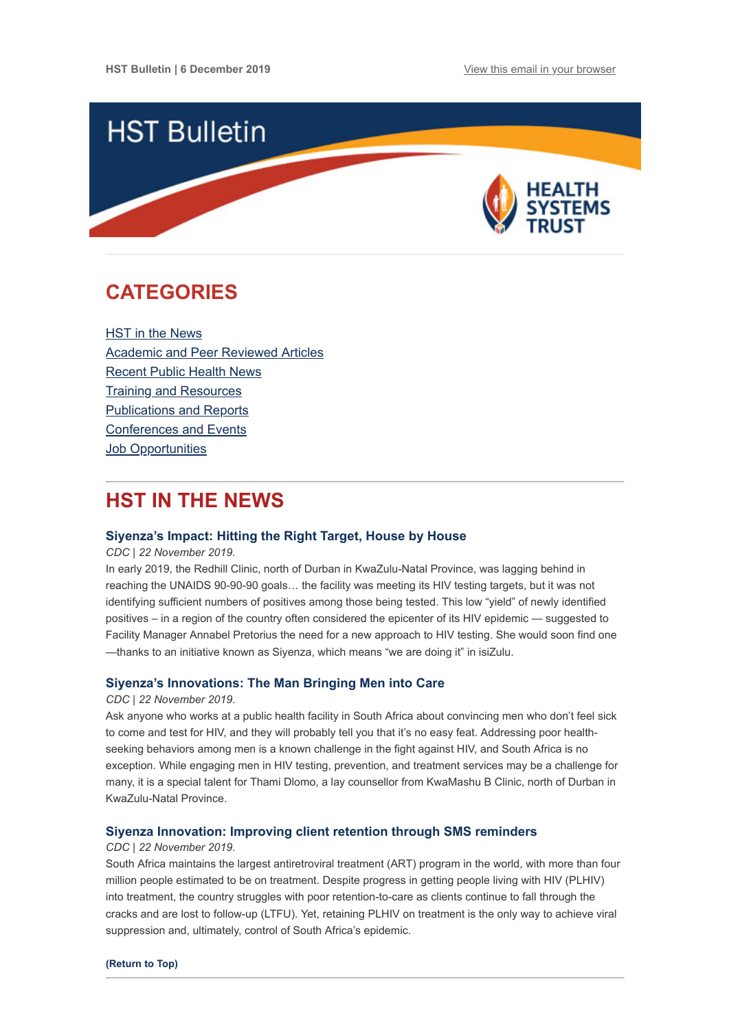

# <span id="page-0-0"></span>**CATEGORIES**

HST in the News [Academic and Peer Reviewed Articles](#page-1-0) [Recent Public Health News](#page-2-0) [Training and Resources](#page-3-0) [Publications and Reports](#page-3-1) [Conferences and Events](#page-3-2) Job Opportunities

# **HST IN THE NEWS**

### **[Siyenza's Impact: Hitting the Right Target, House by House](https://www.cdc.gov/globalhivtb/who-we-are/success-stories/success-story-pages/siyenzaimpact.html)**

*CDC | 22 November 2019.*

In early 2019, the Redhill Clinic, north of Durban in KwaZulu-Natal Province, was lagging behind in reaching the UNAIDS 90-90-90 goals… the facility was meeting its HIV testing targets, but it was not identifying sufficient numbers of positives among those being tested. This low "yield" of newly identified positives – in a region of the country often considered the epicenter of its HIV epidemic — suggested to Facility Manager Annabel Pretorius the need for a new approach to HIV testing. She would soon find one —thanks to an initiative known as Siyenza, which means "we are doing it" in isiZulu.

### **[Siyenza's Innovations: The Man Bringing Men into Care](https://www.cdc.gov/globalhivtb/who-we-are/success-stories/success-story-pages/siyenzamanbringcare.html)**

#### *CDC | 22 November 2019*.

Ask anyone who works at a public health facility in South Africa about convincing men who don't feel sick to come and test for HIV, and they will probably tell you that it's no easy feat. Addressing poor healthseeking behaviors among men is a known challenge in the fight against HIV, and South Africa is no exception. While engaging men in HIV testing, prevention, and treatment services may be a challenge for many, it is a special talent for Thami Dlomo, a lay counsellor from KwaMashu B Clinic, north of Durban in KwaZulu-Natal Province.

### **[Siyenza Innovation: Improving client retention through SMS reminders](https://www.cdc.gov/globalhivtb/who-we-are/success-stories/success-story-pages/siyenzainnovation.html)**

#### *CDC | 22 November 2019*.

South Africa maintains the largest antiretroviral treatment (ART) program in the world, with more than four million people estimated to be on treatment. Despite progress in getting people living with HIV (PLHIV) into treatment, the country struggles with poor retention-to-care as clients continue to fall through the cracks and are lost to follow-up (LTFU). Yet, retaining PLHIV on treatment is the only way to achieve viral suppression and, ultimately, control of South Africa's epidemic.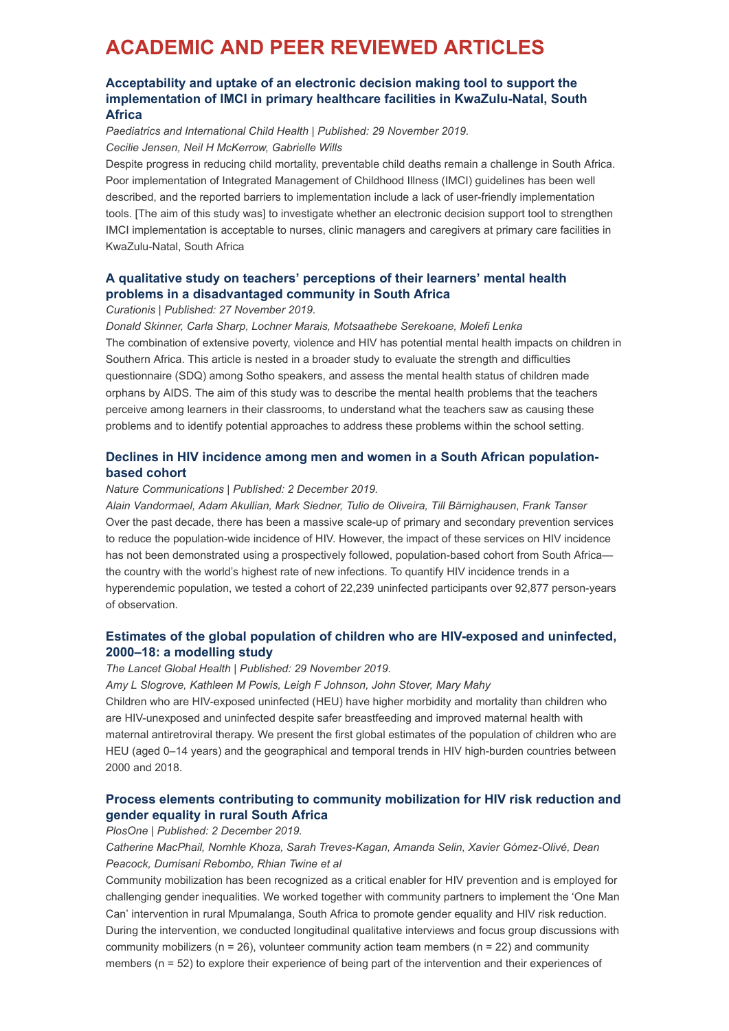# <span id="page-1-0"></span>**ACADEMIC AND PEER REVIEWED ARTICLES**

## **Acceptability and uptake of an electronic decision making tool to support the [implementation of IMCI in primary healthcare facilities in KwaZulu-Natal, South](https://www.hst.org.za/publications/NonHST%20Publications/Jensen%20McKerrow%20Wills%20%20Acceptability%20%20uptake%20of%20eIMCI%20in%20KZN%20SA%20%20Paed%20Int%20Child%20Health%202019%20iv.pdf) Africa**

*Paediatrics and International Child Health | Published: 29 November 2019. Cecilie Jensen, Neil H McKerrow, Gabrielle Wills*

Despite progress in reducing child mortality, preventable child deaths remain a challenge in South Africa. Poor implementation of Integrated Management of Childhood Illness (IMCI) guidelines has been well described, and the reported barriers to implementation include a lack of user-friendly implementation tools. [The aim of this study was] to investigate whether an electronic decision support tool to strengthen IMCI implementation is acceptable to nurses, clinic managers and caregivers at primary care facilities in KwaZulu-Natal, South Africa

## **[A qualitative study on teachers' perceptions of their learners' mental health](https://curationis.org.za/index.php/curationis/article/view/1903/2625) problems in a disadvantaged community in South Africa**

*Curationis | Published: 27 November 2019.*

*Donald Skinner, Carla Sharp, Lochner Marais, Motsaathebe Serekoane, Molefi Lenka* The combination of extensive poverty, violence and HIV has potential mental health impacts on children in Southern Africa. This article is nested in a broader study to evaluate the strength and difficulties questionnaire (SDQ) among Sotho speakers, and assess the mental health status of children made orphans by AIDS. The aim of this study was to describe the mental health problems that the teachers perceive among learners in their classrooms, to understand what the teachers saw as causing these problems and to identify potential approaches to address these problems within the school setting.

## **[Declines in HIV incidence among men and women in a South African population](https://www.nature.com/articles/s41467-019-13473-y)based cohort**

#### *Nature Communications | Published: 2 December 2019.*

*Alain Vandormael, Adam Akullian, Mark Siedner, Tulio de Oliveira, Till Bärnighausen*, *Frank Tanser* Over the past decade, there has been a massive scale-up of primary and secondary prevention services to reduce the population-wide incidence of HIV. However, the impact of these services on HIV incidence has not been demonstrated using a prospectively followed, population-based cohort from South Africa the country with the world's highest rate of new infections. To quantify HIV incidence trends in a hyperendemic population, we tested a cohort of 22,239 uninfected participants over 92,877 person-years of observation.

# **[Estimates of the global population of children who are HIV-exposed and uninfected,](https://www.thelancet.com/journals/langlo/article/PIIS2214-109X(19)30448-6/fulltext#%20) 2000–18: a modelling study**

## *The Lancet Global Health | Published: 29 November 2019.*

*Amy L Slogrove, Kathleen M Powis, Leigh F Johnson, John Stover, Mary Mahy*

Children who are HIV-exposed uninfected (HEU) have higher morbidity and mortality than children who are HIV-unexposed and uninfected despite safer breastfeeding and improved maternal health with maternal antiretroviral therapy. We present the first global estimates of the population of children who are HEU (aged 0–14 years) and the geographical and temporal trends in HIV high-burden countries between 2000 and 2018.

# **[Process elements contributing to community mobilization for HIV risk reduction and](https://journals.plos.org/plosone/article?id=10.1371/journal.pone.0225694) gender equality in rural South Africa**

*PlosOne | Published: 2 December 2019.*

*Catherine MacPhail, Nomhle Khoza, Sarah Treves-Kagan, Amanda Selin, Xavier Gómez-Olivé, Dean Peacock, Dumisani Rebombo, Rhian Twine et al*

Community mobilization has been recognized as a critical enabler for HIV prevention and is employed for challenging gender inequalities. We worked together with community partners to implement the 'One Man Can' intervention in rural Mpumalanga, South Africa to promote gender equality and HIV risk reduction. During the intervention, we conducted longitudinal qualitative interviews and focus group discussions with community mobilizers ( $n = 26$ ), volunteer community action team members ( $n = 22$ ) and community members (n = 52) to explore their experience of being part of the intervention and their experiences of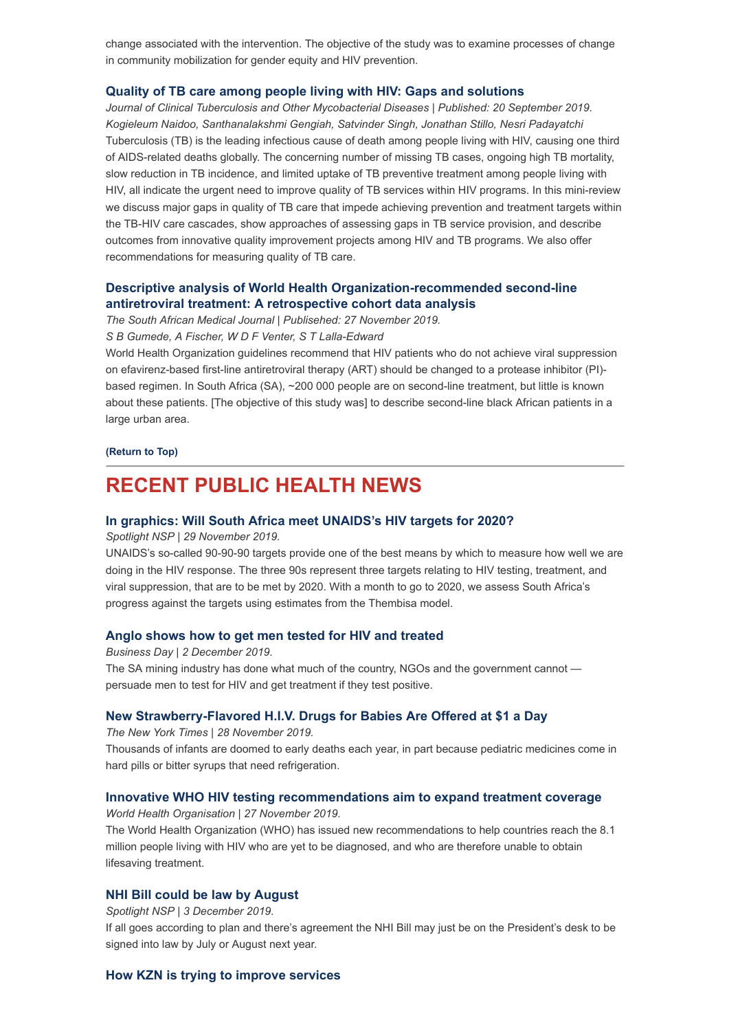change associated with the intervention. The objective of the study was to examine processes of change in community mobilization for gender equity and HIV prevention.

### **[Quality of TB care among people living with HIV: Gaps and solutions](https://www.sciencedirect.com/science/article/pii/S2405579419300634)**

*Journal of Clinical Tuberculosis and Other Mycobacterial Diseases | Published: 20 September 2019. Kogieleum Naidoo, Santhanalakshmi Gengiah, Satvinder Singh, Jonathan Stillo, Nesri Padayatchi* Tuberculosis (TB) is the leading infectious cause of death among people living with HIV, causing one third of AIDS-related deaths globally. The concerning number of missing TB cases, ongoing high TB mortality, slow reduction in TB incidence, and limited uptake of TB preventive treatment among people living with HIV, all indicate the urgent need to improve quality of TB services within HIV programs. In this mini-review we discuss major gaps in quality of TB care that impede achieving prevention and treatment targets within the TB-HIV care cascades, show approaches of assessing gaps in TB service provision, and describe outcomes from innovative quality improvement projects among HIV and TB programs. We also offer recommendations for measuring quality of TB care.

## **[Descriptive analysis of World Health Organization-recommended second-line](http://www.samj.org.za/index.php/samj/article/view/12775/9043) antiretroviral treatment: A retrospective cohort data analysis**

*The South African Medical Journal | Publisehed: 27 November 2019.*

*S B Gumede, A Fischer, W D F Venter, S T Lalla-Edward*

World Health Organization guidelines recommend that HIV patients who do not achieve viral suppression on efavirenz-based first-line antiretroviral therapy (ART) should be changed to a protease inhibitor (PI) based regimen. In South Africa (SA), ~200 000 people are on second-line treatment, but little is known about these patients. [The objective of this study was] to describe second-line black African patients in a large urban area.

#### **[\(Return to Top\)](#page-0-0)**

# <span id="page-2-0"></span>**RECENT PUBLIC HEALTH NEWS**

### **[In graphics: Will South Africa meet UNAIDS's HIV targets for 2020?](https://www.spotlightnsp.co.za/2019/11/29/in-graphics-will-south-africa-meet-unaidss-hiv-targets-for-2020/)**

*Spotlight NSP | 29 November 2019.*

UNAIDS's so-called 90-90-90 targets provide one of the best means by which to measure how well we are doing in the HIV response. The three 90s represent three targets relating to HIV testing, treatment, and viral suppression, that are to be met by 2020. With a month to go to 2020, we assess South Africa's progress against the targets using estimates from the Thembisa model.

### **[Anglo shows how to get men tested for HIV and treated](https://www.businesslive.co.za/bd/companies/mining/2019-12-02-anglo-shows-how-to-get-men-tested-for-hiv-and-treated/)**

*Business Day | 2 December 2019.*  The SA mining industry has done what much of the country, NGOs and the government cannot persuade men to test for HIV and get treatment if they test positive.

#### **[New Strawberry-Flavored H.I.V. Drugs for Babies Are Offered at \\$1 a Day](https://www.nytimes.com/2019/11/29/health/AIDS-drugs-children.html)**

*The New York Times | 28 November 2019.*

Thousands of infants are doomed to early deaths each year, in part because pediatric medicines come in hard pills or bitter syrups that need refrigeration.

#### **[Innovative WHO HIV testing recommendations aim to expand treatment coverage](https://www.who.int/news-room/detail/27-11-2019-innovative-who-hiv-testing-recommendations-aim-to-expand-treatment-coverage)**

*World Health Organisation | 27 November 2019.* The World Health Organization (WHO) has issued new recommendations to help countries reach the 8.1 million people living with HIV who are yet to be diagnosed, and who are therefore unable to obtain lifesaving treatment.

### **[NHI Bill could be law by August](https://www.spotlightnsp.co.za/2019/12/03/nhi-bill-could-be-law-by-august/)**

*Spotlight NSP | 3 December 2019.*

If all goes according to plan and there's agreement the NHI Bill may just be on the President's desk to be signed into law by July or August next year.

#### **[How KZN is trying to improve services](https://health-e.org.za/2019/11/28/how-kzn-is-trying-to-improve-services/%20%C2%A0)**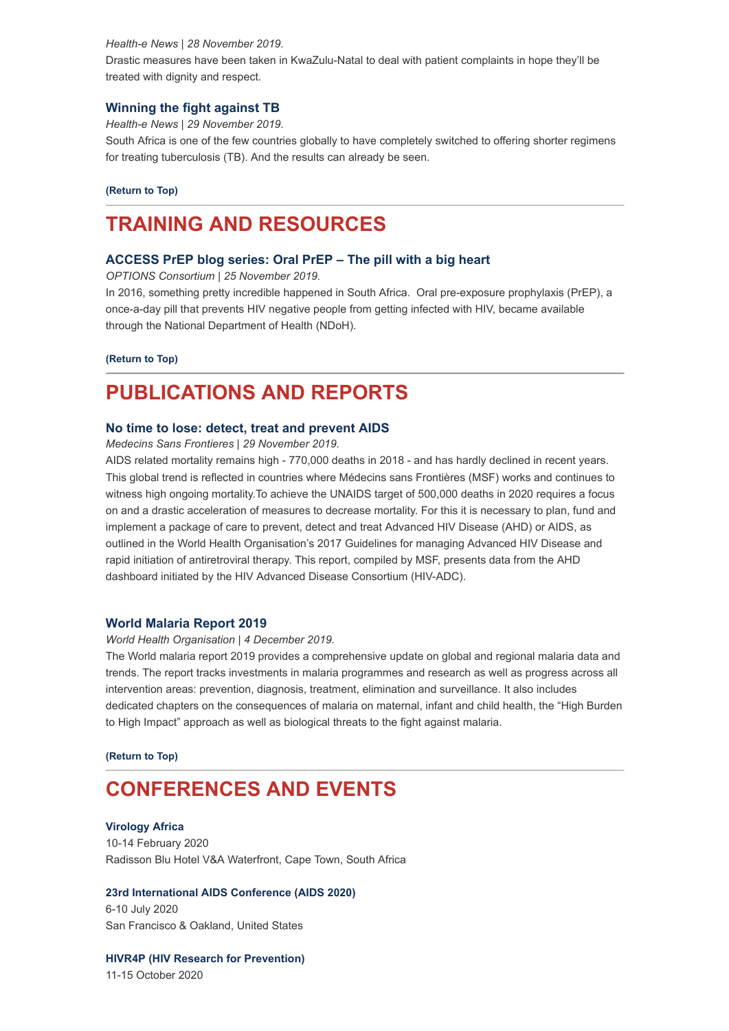#### *Health-e News | 28 November 2019.*

Drastic measures have been taken in KwaZulu-Natal to deal with patient complaints in hope they'll be treated with dignity and respect.

#### **[Winning the fight against TB](https://health-e.org.za/2019/11/29/winning-the-fight-against-tb/)**

*Health-e News | 29 November 2019.*

South Africa is one of the few countries globally to have completely switched to offering shorter regimens for treating tuberculosis (TB). And the results can already be seen.

**[\(Return to Top\)](#page-0-0)**

# <span id="page-3-0"></span>**TRAINING AND RESOURCES**

#### **[ACCESS PrEP blog series: Oral PrEP – The pill with a big heart](https://www.hivsharespace.net/blog/access-prep-blog-series-oral-prep-pill-big-heart)**

*OPTIONS Consortium | 25 November 2019.*

In 2016, something pretty incredible happened in South Africa. Oral pre-exposure prophylaxis (PrEP), a once-a-day pill that prevents HIV negative people from getting infected with HIV, became available through the National Department of Health (NDoH).

**[\(Return to Top\)](#page-0-0)**

# <span id="page-3-1"></span>**PUBLICATIONS AND REPORTS**

#### **[No time to lose: detect, treat and prevent AIDS](https://www.hst.org.za/publications/NonHST%20Publications/201911%20No%20Time%20to%20lose%20Advanced%20HIV%20report%20FINAL.pdf)**

*Medecins Sans Frontieres | 29 November 2019.*

AIDS related mortality remains high - 770,000 deaths in 2018 - and has hardly declined in recent years. This global trend is reflected in countries where Médecins sans Frontières (MSF) works and continues to witness high ongoing mortality.To achieve the UNAIDS target of 500,000 deaths in 2020 requires a focus on and a drastic acceleration of measures to decrease mortality. For this it is necessary to plan, fund and implement a package of care to prevent, detect and treat Advanced HIV Disease (AHD) or AIDS, as outlined in the World Health Organisation's 2017 Guidelines for managing Advanced HIV Disease and rapid initiation of antiretroviral therapy. This report, compiled by MSF, presents data from the AHD dashboard initiated by the HIV Advanced Disease Consortium (HIV-ADC).

#### **[World Malaria Report 2019](https://www.hst.org.za/publications/NonHST%20Publications/9789241565721-eng.pdf)**

#### *World Health Organisation | 4 December 2019.*

The World malaria report 2019 provides a comprehensive update on global and regional malaria data and trends. The report tracks investments in malaria programmes and research as well as progress across all intervention areas: prevention, diagnosis, treatment, elimination and surveillance. It also includes dedicated chapters on the consequences of malaria on maternal, infant and child health, the "High Burden to High Impact" approach as well as biological threats to the fight against malaria.

**[\(Return to Top\)](#page-0-0)**

# <span id="page-3-2"></span>**CONFERENCES AND EVENTS**

#### **[Virology Africa](https://www.virologyafrica2020.com/index.html)**

10-14 February 2020 Radisson Blu Hotel V&A Waterfront, Cape Town, South Africa

### **[23rd International AIDS Conference \(AIDS 2020\)](https://www.aids2020.org/)**

6-10 July 2020 San Francisco & Oakland, United States

**[HIVR4P \(HIV Research for Prevention\)](https://www.hst.org.za/Lists/HST%20Events/DispForm.aspx?ID=63&Source=https%3A%2F%2Fwww%2Ehst%2Eorg%2Eza%2FLists%2FHST%2520Events%2Fcalendar%2Easpx)**

11-15 October 2020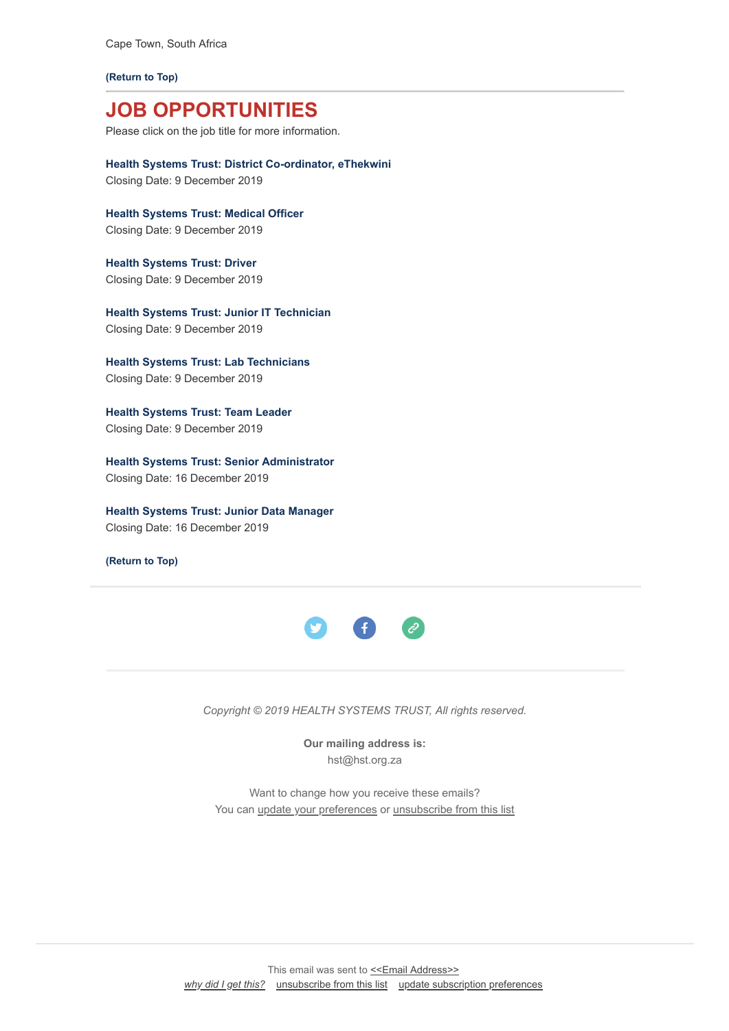Cape Town, South Africa

**[\(Return to Top\)](#page-0-0)**

# **JOB OPPORTUNITIES**

Please click on the job title for more information.

**[Health Systems Trust: District Co-ordinator, eThekwini](https://www.hst.org.za/Pages/District-Co-ordinator-.aspx)** Closing Date: 9 December 2019

**[Health Systems Trust: Medical Officer](https://www.hst.org.za/Pages/Medical-Officer.aspx)** Closing Date: 9 December 2019

**[Health Systems Trust: Driver](https://www.hst.org.za/Pages/DriverCT.aspx)** Closing Date: 9 December 2019

**[Health Systems Trust: Junior IT Technician](https://www.hst.org.za/Pages/Junior-IT-Technician-.aspx)** Closing Date: 9 December 2019

**[Health Systems Trust: Lab Technicians](https://www.hst.org.za/Pages/Lab-Technicians-.aspx%20%C2%A0)** Closing Date: 9 December 2019

**[Health Systems Trust: Team Leader](https://www.hst.org.za/Pages/Lab-Technicians-.aspx)** Closing Date: 9 December 2019

**[Health Systems Trust: Senior Administrator](https://www.hst.org.za/Pages/Senior-Administrator-.aspx)** Closing Date: 16 December 2019

**[Health Systems Trust: Junior Data Manager](https://www.hst.org.za/Pages/Junior-Data-Manager-.aspx)** Closing Date: 16 December 2019

**[\(Return to Top\)](#page-0-0)**



*Copyright © 2019 HEALTH SYSTEMS TRUST, All rights reserved.*

**Our mailing address is:** hst@hst.org.za

Want to change how you receive these emails? You can *[update your preferences](https://hst.us14.list-manage.com/profile?u=72d7614ab973e486252cafb97&id=ac4ca52ce0&e=[UNIQID])* or *unsubscribe from this list*